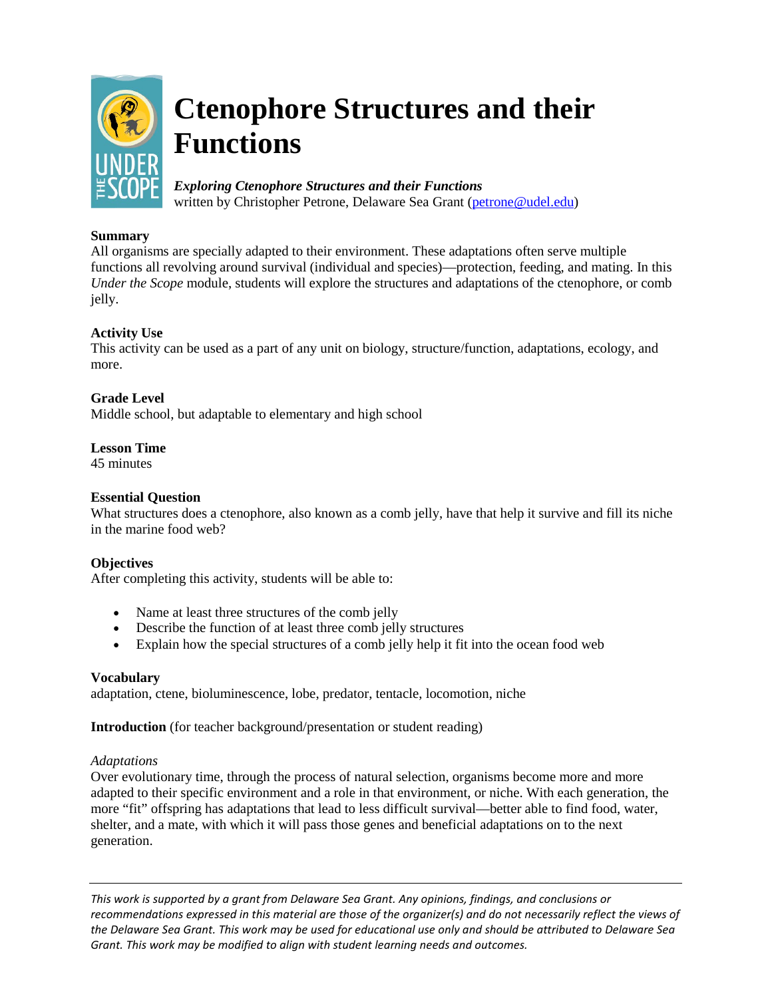

# **Ctenophore Structures and their Functions**

# *Exploring Ctenophore Structures and their Functions*

written by Christopher Petrone, Delaware Sea Grant [\(petrone@udel.edu\)](mailto:petrone@udel.edu)

# **Summary**

All organisms are specially adapted to their environment. These adaptations often serve multiple functions all revolving around survival (individual and species)—protection, feeding, and mating. In this *Under the Scope* module, students will explore the structures and adaptations of the ctenophore, or comb jelly.

# **Activity Use**

This activity can be used as a part of any unit on biology, structure/function, adaptations, ecology, and more.

# **Grade Level**

Middle school, but adaptable to elementary and high school

## **Lesson Time**

45 minutes

### **Essential Question**

What structures does a ctenophore, also known as a comb jelly, have that help it survive and fill its niche in the marine food web?

## **Objectives**

After completing this activity, students will be able to:

- Name at least three structures of the comb jelly
- Describe the function of at least three comb jelly structures
- Explain how the special structures of a comb jelly help it fit into the ocean food web

#### **Vocabulary**

adaptation, ctene, bioluminescence, lobe, predator, tentacle, locomotion, niche

**Introduction** (for teacher background/presentation or student reading)

#### *Adaptations*

Over evolutionary time, through the process of natural selection, organisms become more and more adapted to their specific environment and a role in that environment, or niche. With each generation, the more "fit" offspring has adaptations that lead to less difficult survival—better able to find food, water, shelter, and a mate, with which it will pass those genes and beneficial adaptations on to the next generation.

*This work is supported by a grant from Delaware Sea Grant. Any opinions, findings, and conclusions or recommendations expressed in this material are those of the organizer(s) and do not necessarily reflect the views of the Delaware Sea Grant. This work may be used for educational use only and should be attributed to Delaware Sea Grant. This work may be modified to align with student learning needs and outcomes.*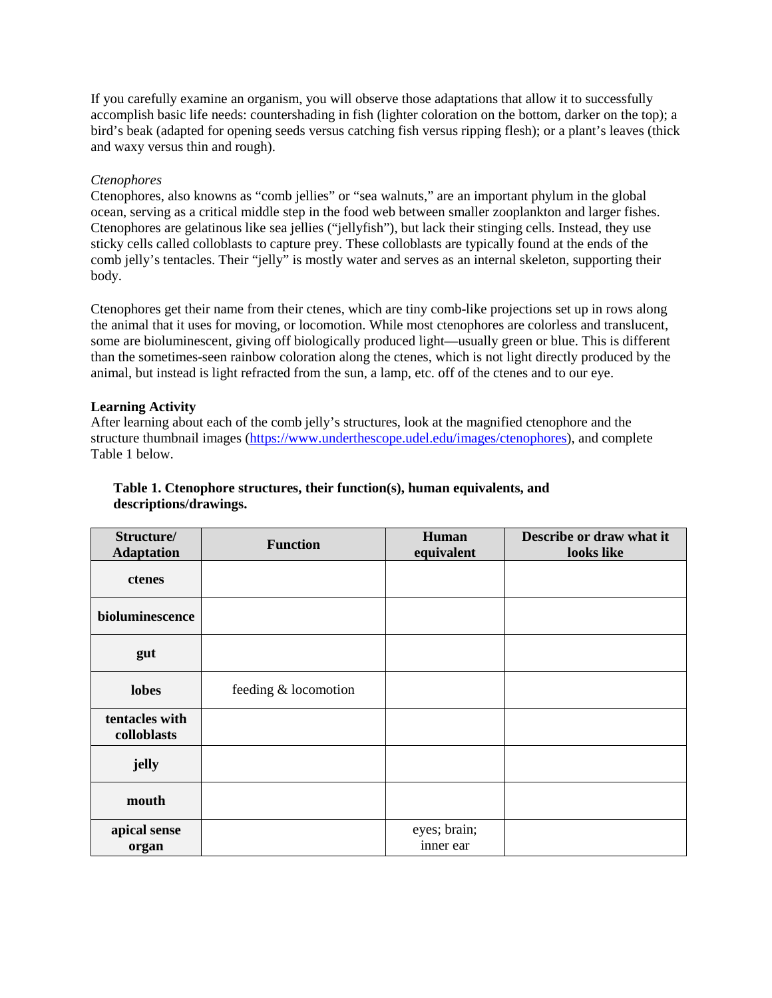If you carefully examine an organism, you will observe those adaptations that allow it to successfully accomplish basic life needs: countershading in fish (lighter coloration on the bottom, darker on the top); a bird's beak (adapted for opening seeds versus catching fish versus ripping flesh); or a plant's leaves (thick and waxy versus thin and rough).

## *Ctenophores*

Ctenophores, also knowns as "comb jellies" or "sea walnuts," are an important phylum in the global ocean, serving as a critical middle step in the food web between smaller zooplankton and larger fishes. Ctenophores are gelatinous like sea jellies ("jellyfish"), but lack their stinging cells. Instead, they use sticky cells called colloblasts to capture prey. These colloblasts are typically found at the ends of the comb jelly's tentacles. Their "jelly" is mostly water and serves as an internal skeleton, supporting their body.

Ctenophores get their name from their ctenes, which are tiny comb-like projections set up in rows along the animal that it uses for moving, or locomotion. While most ctenophores are colorless and translucent, some are bioluminescent, giving off biologically produced light—usually green or blue. This is different than the sometimes-seen rainbow coloration along the ctenes, which is not light directly produced by the animal, but instead is light refracted from the sun, a lamp, etc. off of the ctenes and to our eye.

## **Learning Activity**

After learning about each of the comb jelly's structures, look at the magnified ctenophore and the structure thumbnail images [\(https://www.underthescope.udel.edu/images/ctenophores\)](https://www.underthescope.udel.edu/images/ctenophores), and complete Table 1 below.

## **Table 1. Ctenophore structures, their function(s), human equivalents, and descriptions/drawings.**

| Structure/<br><b>Adaptation</b> | <b>Function</b>      | Human<br>equivalent | Describe or draw what it<br>looks like |
|---------------------------------|----------------------|---------------------|----------------------------------------|
| ctenes                          |                      |                     |                                        |
| bioluminescence                 |                      |                     |                                        |
| gut                             |                      |                     |                                        |
| lobes                           | feeding & locomotion |                     |                                        |
| tentacles with<br>colloblasts   |                      |                     |                                        |
| jelly                           |                      |                     |                                        |
| mouth                           |                      |                     |                                        |
| apical sense                    |                      | eyes; brain;        |                                        |
| organ                           |                      | inner ear           |                                        |